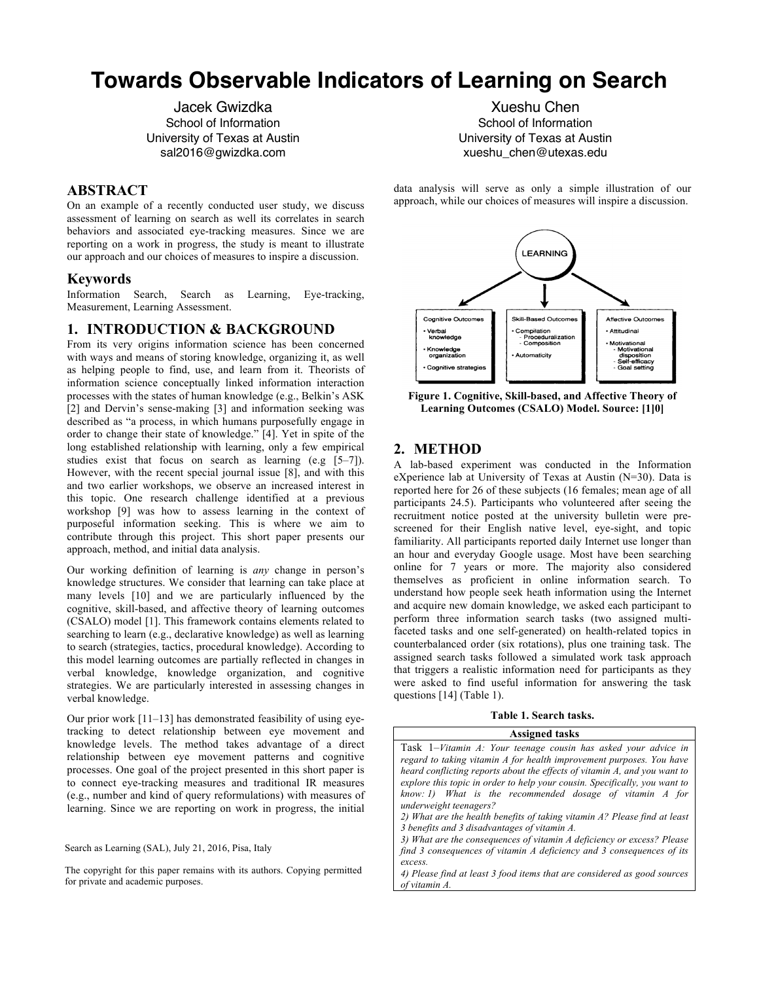# **Towards Observable Indicators of Learning on Search**

Jacek Gwizdka School of Information University of Texas at Austin sal2016@gwizdka.com

Xueshu Chen School of Information University of Texas at Austin xueshu\_chen@utexas.edu

# **ABSTRACT**

On an example of a recently conducted user study, we discuss assessment of learning on search as well its correlates in search behaviors and associated eye-tracking measures. Since we are reporting on a work in progress, the study is meant to illustrate our approach and our choices of measures to inspire a discussion.

## **Keywords**

Information Search, Search as Learning, Eye-tracking, Measurement, Learning Assessment.

## **1. INTRODUCTION & BACKGROUND**

From its very origins information science has been concerned with ways and means of storing knowledge, organizing it, as well as helping people to find, use, and learn from it. Theorists of information science conceptually linked information interaction processes with the states of human knowledge (e.g., Belkin's ASK [2] and Dervin's sense-making [3] and information seeking was described as "a process, in which humans purposefully engage in order to change their state of knowledge." [4]. Yet in spite of the long established relationship with learning, only a few empirical studies exist that focus on search as learning  $(e.g. [5-7])$ . However, with the recent special journal issue [8], and with this and two earlier workshops, we observe an increased interest in this topic. One research challenge identified at a previous workshop [9] was how to assess learning in the context of purposeful information seeking. This is where we aim to contribute through this project. This short paper presents our approach, method, and initial data analysis.

Our working definition of learning is *any* change in person's knowledge structures. We consider that learning can take place at many levels [10] and we are particularly influenced by the cognitive, skill-based, and affective theory of learning outcomes (CSALO) model [1]. This framework contains elements related to searching to learn (e.g., declarative knowledge) as well as learning to search (strategies, tactics, procedural knowledge). According to this model learning outcomes are partially reflected in changes in verbal knowledge, knowledge organization, and cognitive strategies. We are particularly interested in assessing changes in verbal knowledge.

Our prior work [11–13] has demonstrated feasibility of using eyetracking to detect relationship between eye movement and knowledge levels. The method takes advantage of a direct relationship between eye movement patterns and cognitive processes. One goal of the project presented in this short paper is to connect eye-tracking measures and traditional IR measures (e.g., number and kind of query reformulations) with measures of learning. Since we are reporting on work in progress, the initial

Search as Learning (SAL), July 21, 2016, Pisa, Italy

The copyright for this paper remains with its authors. Copying permitted for private and academic purposes.

data analysis will serve as only a simple illustration of our approach, while our choices of measures will inspire a discussion.



**Figure 1. Cognitive, Skill-based, and Affective Theory of Learning Outcomes (CSALO) Model. Source: [1]0]**

# **2. METHOD**

A lab-based experiment was conducted in the Information eXperience lab at University of Texas at Austin (N=30). Data is reported here for 26 of these subjects (16 females; mean age of all participants 24.5). Participants who volunteered after seeing the recruitment notice posted at the university bulletin were prescreened for their English native level, eye-sight, and topic familiarity. All participants reported daily Internet use longer than an hour and everyday Google usage. Most have been searching online for 7 years or more. The majority also considered themselves as proficient in online information search. To understand how people seek heath information using the Internet and acquire new domain knowledge, we asked each participant to perform three information search tasks (two assigned multifaceted tasks and one self-generated) on health-related topics in counterbalanced order (six rotations), plus one training task. The assigned search tasks followed a simulated work task approach that triggers a realistic information need for participants as they were asked to find useful information for answering the task questions [14] (Table 1).

#### **Table 1. Search tasks.**

| <b>Assigned tasks</b>                                                      |
|----------------------------------------------------------------------------|
| Task 1–Vitamin A: Your teenage cousin has asked your advice in             |
| regard to taking vitamin A for health improvement purposes. You have       |
| heard conflicting reports about the effects of vitamin A, and you want to  |
| explore this topic in order to help your cousin. Specifically, you want to |
| know: 1) What is the recommended dosage of vitamin $\Lambda$ for           |
| underweight teenagers?                                                     |
| 2) What are the health benefits of taking vitamin A? Please find at least  |
| 3 benefits and 3 disadvantages of vitamin A.                               |
| 3) What are the consequences of vitamin A deficiency or excess? Please     |
| find 3 consequences of vitamin A deficiency and 3 consequences of its      |
| excess.                                                                    |
|                                                                            |

*4) Please find at least 3 food items that are considered as good sources of vitamin A.*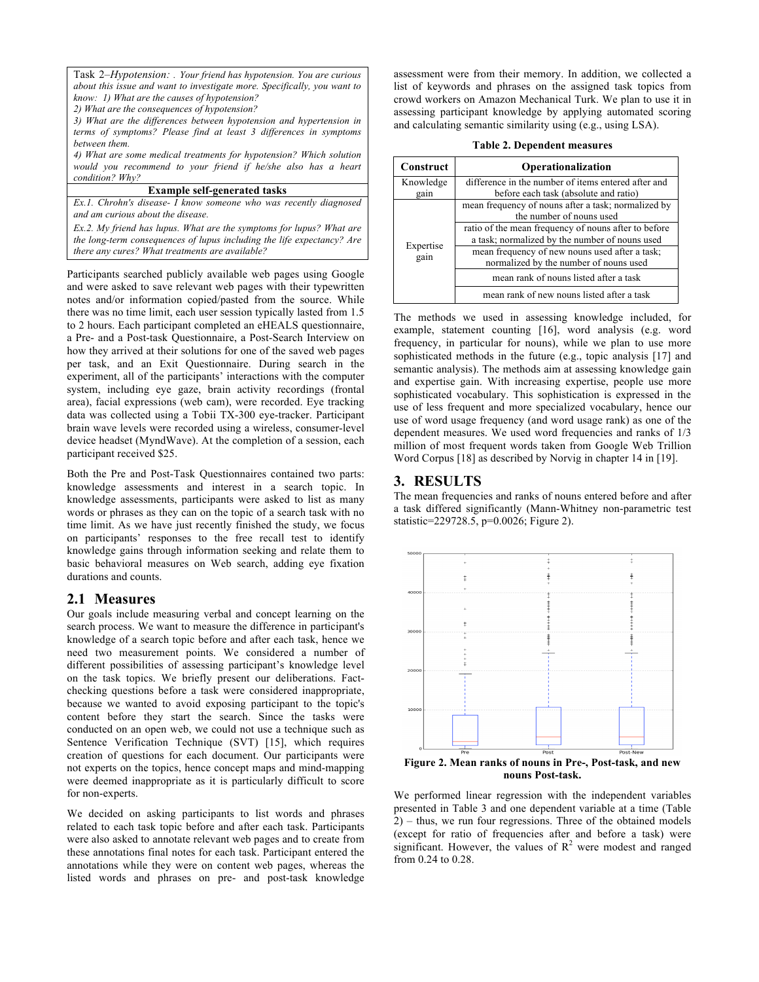Task 2*–Hypotension: . Your friend has hypotension. You are curious about this issue and want to investigate more. Specifically, you want to know: 1) What are the causes of hypotension?* 

*2) What are the consequences of hypotension?* 

*3) What are the differences between hypotension and hypertension in terms of symptoms? Please find at least 3 differences in symptoms between them.* 

*4) What are some medical treatments for hypotension? Which solution would you recommend to your friend if he/she also has a heart condition? Why?*

#### **Example self-generated tasks**

*Ex.1. Chrohn's disease- I know someone who was recently diagnosed and am curious about the disease.*

*Ex.2. My friend has lupus. What are the symptoms for lupus? What are the long-term consequences of lupus including the life expectancy? Are there any cures? What treatments are available?*

Participants searched publicly available web pages using Google and were asked to save relevant web pages with their typewritten notes and/or information copied/pasted from the source. While there was no time limit, each user session typically lasted from 1.5 to 2 hours. Each participant completed an eHEALS questionnaire, a Pre- and a Post-task Questionnaire, a Post-Search Interview on how they arrived at their solutions for one of the saved web pages per task, and an Exit Questionnaire. During search in the experiment, all of the participants' interactions with the computer system, including eye gaze, brain activity recordings (frontal area), facial expressions (web cam), were recorded. Eye tracking data was collected using a Tobii TX-300 eye-tracker. Participant brain wave levels were recorded using a wireless, consumer-level device headset (MyndWave). At the completion of a session, each participant received \$25.

Both the Pre and Post-Task Questionnaires contained two parts: knowledge assessments and interest in a search topic. In knowledge assessments, participants were asked to list as many words or phrases as they can on the topic of a search task with no time limit. As we have just recently finished the study, we focus on participants' responses to the free recall test to identify knowledge gains through information seeking and relate them to basic behavioral measures on Web search, adding eye fixation durations and counts.

## **2.1 Measures**

Our goals include measuring verbal and concept learning on the search process. We want to measure the difference in participant's knowledge of a search topic before and after each task, hence we need two measurement points. We considered a number of different possibilities of assessing participant's knowledge level on the task topics. We briefly present our deliberations. Factchecking questions before a task were considered inappropriate, because we wanted to avoid exposing participant to the topic's content before they start the search. Since the tasks were conducted on an open web, we could not use a technique such as Sentence Verification Technique (SVT) [15], which requires creation of questions for each document. Our participants were not experts on the topics, hence concept maps and mind-mapping were deemed inappropriate as it is particularly difficult to score for non-experts.

We decided on asking participants to list words and phrases related to each task topic before and after each task. Participants were also asked to annotate relevant web pages and to create from these annotations final notes for each task. Participant entered the annotations while they were on content web pages, whereas the listed words and phrases on pre- and post-task knowledge

assessment were from their memory. In addition, we collected a list of keywords and phrases on the assigned task topics from crowd workers on Amazon Mechanical Turk. We plan to use it in assessing participant knowledge by applying automated scoring and calculating semantic similarity using (e.g., using LSA).

|  | <b>Table 2. Dependent measures</b> |  |
|--|------------------------------------|--|
|--|------------------------------------|--|

| Construct         | Operationalization                                                                       |
|-------------------|------------------------------------------------------------------------------------------|
| Knowledge         | difference in the number of items entered after and                                      |
| gain              | before each task (absolute and ratio)                                                    |
|                   | mean frequency of nouns after a task; normalized by<br>the number of nouns used          |
|                   | ratio of the mean frequency of nouns after to before                                     |
| Expertise<br>gain | a task; normalized by the number of nouns used                                           |
|                   | mean frequency of new nouns used after a task;<br>normalized by the number of nouns used |
|                   | mean rank of nouns listed after a task                                                   |
|                   | mean rank of new nouns listed after a task                                               |

The methods we used in assessing knowledge included, for example, statement counting [16], word analysis (e.g. word frequency, in particular for nouns), while we plan to use more sophisticated methods in the future (e.g., topic analysis [17] and semantic analysis). The methods aim at assessing knowledge gain and expertise gain. With increasing expertise, people use more sophisticated vocabulary. This sophistication is expressed in the use of less frequent and more specialized vocabulary, hence our use of word usage frequency (and word usage rank) as one of the dependent measures. We used word frequencies and ranks of 1/3 million of most frequent words taken from Google Web Trillion Word Corpus [18] as described by Norvig in chapter 14 in [19].

# **3. RESULTS**

The mean frequencies and ranks of nouns entered before and after a task differed significantly (Mann-Whitney non-parametric test statistic=229728.5, p=0.0026; Figure 2).



**Figure 2. Mean ranks of nouns in Pre-, Post-task, and new nouns Post-task.**

We performed linear regression with the independent variables presented in Table 3 and one dependent variable at a time (Table 2) – thus, we run four regressions. Three of the obtained models (except for ratio of frequencies after and before a task) were significant. However, the values of  $\mathbb{R}^2$  were modest and ranged from 0.24 to 0.28.